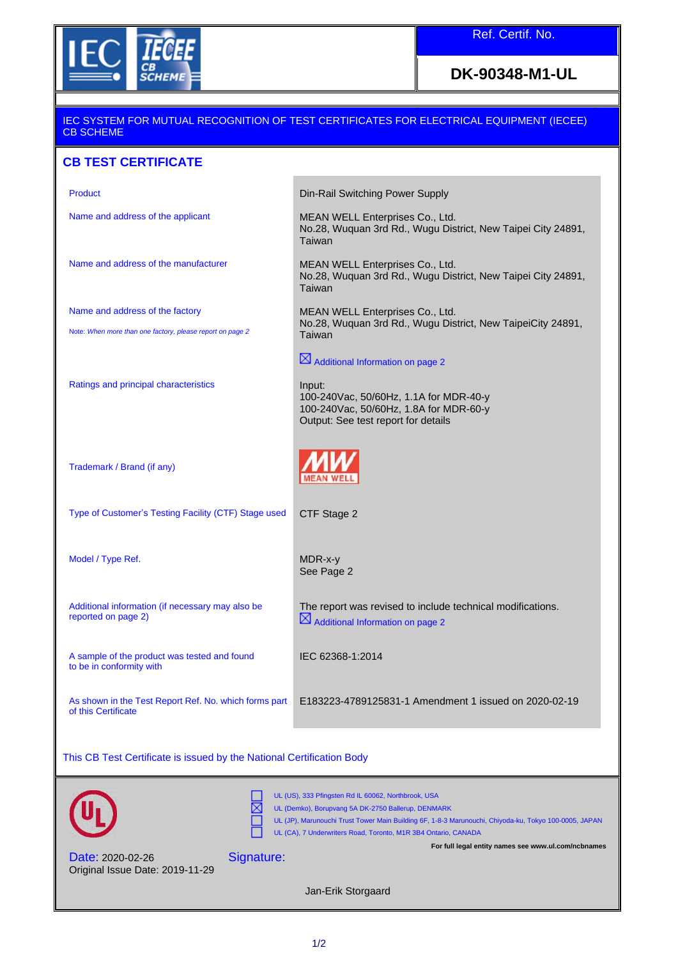

### **DK-90348-M1-UL**

### IEC SYSTEM FOR MUTUAL RECOGNITION OF TEST CERTIFICATES FOR ELECTRICAL EQUIPMENT (IECEE) CB SCHEME

### **CB TEST CERTIFICATE**

| <b>Product</b>                                                                               | Din-Rail Switching Power Supply                                                                                                   |
|----------------------------------------------------------------------------------------------|-----------------------------------------------------------------------------------------------------------------------------------|
| Name and address of the applicant                                                            | MEAN WELL Enterprises Co., Ltd.<br>No.28, Wuquan 3rd Rd., Wugu District, New Taipei City 24891,<br>Taiwan                         |
| Name and address of the manufacturer                                                         | MEAN WELL Enterprises Co., Ltd.<br>No.28, Wuquan 3rd Rd., Wugu District, New Taipei City 24891,<br>Taiwan                         |
| Name and address of the factory<br>Note: When more than one factory, please report on page 2 | MEAN WELL Enterprises Co., Ltd.<br>No.28, Wuquan 3rd Rd., Wugu District, New TaipeiCity 24891,<br>Taiwan                          |
|                                                                                              | $\boxtimes$ Additional Information on page 2                                                                                      |
| Ratings and principal characteristics                                                        | Input:<br>100-240Vac, 50/60Hz, 1.1A for MDR-40-y<br>100-240Vac, 50/60Hz, 1.8A for MDR-60-y<br>Output: See test report for details |
| Trademark / Brand (if any)                                                                   |                                                                                                                                   |
| Type of Customer's Testing Facility (CTF) Stage used                                         | CTF Stage 2                                                                                                                       |
| Model / Type Ref.                                                                            | MDR-x-y<br>See Page 2                                                                                                             |
| Additional information (if necessary may also be<br>reported on page 2)                      | The report was revised to include technical modifications.<br>$\boxtimes$ Additional Information on page 2                        |
| A sample of the product was tested and found<br>to be in conformity with                     | IEC 62368-1:2014                                                                                                                  |
| As shown in the Test Report Ref. No. which forms part<br>of this Certificate                 | E183223-4789125831-1 Amendment 1 issued on 2020-02-19                                                                             |
|                                                                                              |                                                                                                                                   |

This CB Test Certificate is issued by the National Certification Body

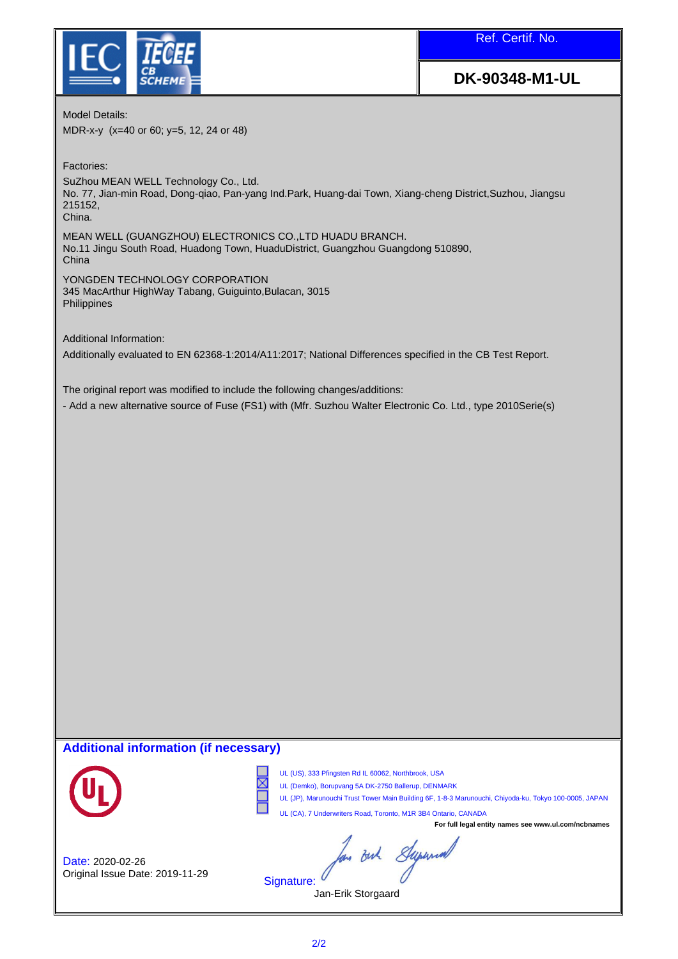

Ref. Certif. No.

# **DK-90348-M1-UL**

Model Details:

MDR-x-y (x=40 or 60; y=5, 12, 24 or 48)

Factories:

SuZhou MEAN WELL Technology Co., Ltd. No. 77, Jian-min Road, Dong-qiao, Pan-yang Ind.Park, Huang-dai Town, Xiang-cheng District,Suzhou, Jiangsu 215152, China.

MEAN WELL (GUANGZHOU) ELECTRONICS CO.,LTD HUADU BRANCH. No.11 Jingu South Road, Huadong Town, HuaduDistrict, Guangzhou Guangdong 510890, China

YONGDEN TECHNOLOGY CORPORATION 345 MacArthur HighWay Tabang, Guiguinto,Bulacan, 3015 **Philippines** 

Additional Information:

Additionally evaluated to EN 62368-1:2014/A11:2017; National Differences specified in the CB Test Report.

The original report was modified to include the following changes/additions:

- Add a new alternative source of Fuse (FS1) with (Mfr. Suzhou Walter Electronic Co. Ltd., type 2010Serie(s)

#### **Additional information (if necessary)**



֦

⋉

UL (US), 333 Pfingsten Rd IL 60062, Northbrook, USA

UL (Demko), Borupvang 5A DK-2750 Ballerup, DENMARK

UL (JP), Marunouchi Trust Tower Main Building 6F, 1-8-3 Marunouchi, Chiyoda-ku, Tokyo 100-0005, JAPAN UL (CA), 7 Underwriters Road, Toronto, M1R 3B4 Ontario, CANADA

**For full legal entity names see www.ul.com/ncbnames**

In out Superint

Date: 2020-02-26 Original Issue Date: 2019-11-29

Signature: Jan-Erik Storgaard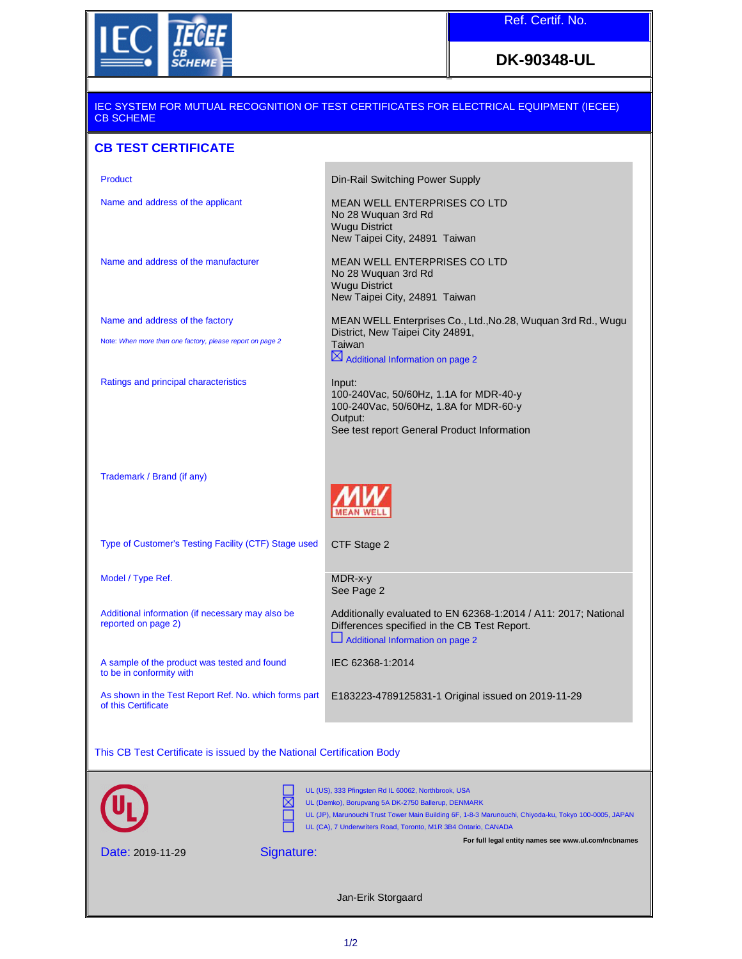

## **DK-90348-UL**

| <u>IEC SYSTEM FOR MUTUAL RECOGNITION OF TEST CERTIFICATES FOR ELECTRICAL EQUIPMENT (IECEE)</u><br><b>CB SCHEME</b>                                                                                                                                                                                                                          |                                                                                                                                                      |  |
|---------------------------------------------------------------------------------------------------------------------------------------------------------------------------------------------------------------------------------------------------------------------------------------------------------------------------------------------|------------------------------------------------------------------------------------------------------------------------------------------------------|--|
| <b>CB TEST CERTIFICATE</b>                                                                                                                                                                                                                                                                                                                  |                                                                                                                                                      |  |
| <b>Product</b>                                                                                                                                                                                                                                                                                                                              | Din-Rail Switching Power Supply                                                                                                                      |  |
| Name and address of the applicant                                                                                                                                                                                                                                                                                                           | <b>MEAN WELL ENTERPRISES CO LTD</b><br>No 28 Wuquan 3rd Rd<br><b>Wugu District</b><br>New Taipei City, 24891 Taiwan                                  |  |
| Name and address of the manufacturer                                                                                                                                                                                                                                                                                                        | <b>MEAN WELL ENTERPRISES CO LTD</b><br>No 28 Wuquan 3rd Rd<br><b>Wugu District</b><br>New Taipei City, 24891 Taiwan                                  |  |
| Name and address of the factory                                                                                                                                                                                                                                                                                                             | MEAN WELL Enterprises Co., Ltd., No.28, Wuquan 3rd Rd., Wugu<br>District, New Taipei City 24891,                                                     |  |
| Note: When more than one factory, please report on page 2                                                                                                                                                                                                                                                                                   | Taiwan<br>$\boxtimes$ Additional Information on page 2                                                                                               |  |
| Ratings and principal characteristics                                                                                                                                                                                                                                                                                                       | Input:<br>100-240Vac, 50/60Hz, 1.1A for MDR-40-y<br>100-240Vac, 50/60Hz, 1.8A for MDR-60-y<br>Output:<br>See test report General Product Information |  |
| Trademark / Brand (if any)                                                                                                                                                                                                                                                                                                                  |                                                                                                                                                      |  |
| Type of Customer's Testing Facility (CTF) Stage used                                                                                                                                                                                                                                                                                        | CTF Stage 2                                                                                                                                          |  |
| Model / Type Ref.                                                                                                                                                                                                                                                                                                                           | MDR-x-y<br>See Page 2                                                                                                                                |  |
| Additional information (if necessary may also be<br>reported on page 2)                                                                                                                                                                                                                                                                     | Additionally evaluated to EN 62368-1:2014 / A11: 2017; National<br>Differences specified in the CB Test Report.<br>Additional Information on page 2  |  |
| A sample of the product was tested and found<br>to be in conformity with                                                                                                                                                                                                                                                                    | IEC 62368-1:2014                                                                                                                                     |  |
| As shown in the Test Report Ref. No. which forms part<br>of this Certificate                                                                                                                                                                                                                                                                | E183223-4789125831-1 Original issued on 2019-11-29                                                                                                   |  |
| This CB Test Certificate is issued by the National Certification Body                                                                                                                                                                                                                                                                       |                                                                                                                                                      |  |
| UL (US), 333 Pfingsten Rd IL 60062, Northbrook, USA<br>UL (Demko), Borupvang 5A DK-2750 Ballerup, DENMARK<br>UL (JP), Marunouchi Trust Tower Main Building 6F, 1-8-3 Marunouchi, Chiyoda-ku, Tokyo 100-0005, JAPAN<br>UL (CA), 7 Underwriters Road, Toronto, M1R 3B4 Ontario, CANADA<br>For full legal entity names see www.ul.com/ncbnames |                                                                                                                                                      |  |
| Signature:<br>Date: 2019-11-29                                                                                                                                                                                                                                                                                                              |                                                                                                                                                      |  |
| Jan-Erik Storgaard                                                                                                                                                                                                                                                                                                                          |                                                                                                                                                      |  |